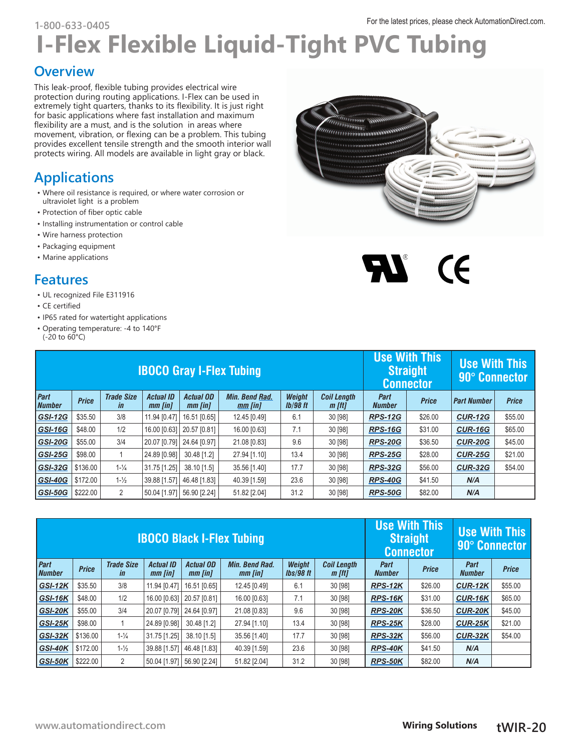## For the latest prices, please check [AutomationDirect.com.](http://AutomationDirect.com) **1-800-633-0405**

# **I-Flex Flexible Liquid-Tight PVC Tubing**

#### **Overview**

This leak-proof, flexible tubing provides electrical wire protection during routing applications. I-Flex can be used in extremely tight quarters, thanks to its flexibility. It is just right for basic applications where fast installation and maximum flexibility are a must, and is the solution in areas where movement, vibration, or flexing can be a problem. This tubing provides excellent tensile strength and the smooth interior wall protects wiring. All models are available in light gray or black.

### **Applications**

- Where oil resistance is required, or where water corrosion or ultraviolet light is a problem
- Protection of fiber optic cable
- Installing instrumentation or control cable
- Wire harness protection
- Packaging equipment
- Marine applications

#### **Features**

- UL recognized File E311916
- CE certified
- IP65 rated for watertight applications
- Operating temperature: -4 to 140°F  $(-20 \text{ to } 60^{\circ}\text{C})$

| <b>IBOCO Gray I-Flex Tubing</b> |              |                                     |                             |                                   |                                  |                                  | <b>Use With This</b><br><b>Straight</b><br><b>Connector</b> |                       | <b>Use With This</b><br>90° Connector |                    |              |
|---------------------------------|--------------|-------------------------------------|-----------------------------|-----------------------------------|----------------------------------|----------------------------------|-------------------------------------------------------------|-----------------------|---------------------------------------|--------------------|--------------|
| Part<br><b>Number</b>           | <b>Price</b> | <b>Trade Size</b><br>$\overline{m}$ | <b>Actual ID</b><br>mm [in] | <b>Actual OD</b><br>mm <i>fin</i> | <b>Min. Bend Rad.</b><br>mm [in] | <b>Weight</b><br><b>Ib/98 ft</b> | <b>Coil Length</b><br>$m$ [ft]                              | Part<br><b>Number</b> | <b>Price</b>                          | <b>Part Number</b> | <b>Price</b> |
| <b>GSI-12G</b>                  | \$35.50      | 3/8                                 | 11.94 [0.47]                | 16.51 [0.65]                      | 12.45 [0.49]                     | 6.1                              | 30 [98]                                                     | <b>RPS-12G</b>        | \$26.00                               | <b>CUR-12G</b>     | \$55.00      |
| <b>GSI-16G</b>                  | \$48.00      | 1/2                                 | 16.00 [0.63]                | 20.57 [0.81]                      | 16.00 [0.63]                     | 7.1                              | 30 [98]                                                     | <b>RPS-16G</b>        | \$31.00                               | <b>CUR-16G</b>     | \$65.00      |
| <b>GSI-20G</b>                  | \$55.00      | 3/4                                 | 20.07 [0.79]                | 24.64 [0.97]                      | 21.08 [0.83]                     | 9.6                              | 30 [98]                                                     | <b>RPS-20G</b>        | \$36.50                               | <b>CUR-20G</b>     | \$45.00      |
| <b>GSI-25G</b>                  | \$98.00      |                                     | 24.89 [0.98]                | 30.48 [1.2]                       | 27.94 [1.10]                     | 13.4                             | 30 [98]                                                     | <b>RPS-25G</b>        | \$28.00                               | <b>CUR-25G</b>     | \$21.00      |
| <b>GSI-32G</b>                  | \$136.00     | $1 - \frac{1}{4}$                   | 31.75 [1.25]                | 38.10 [1.5]                       | 35.56 [1.40]                     | 17.7                             | 30 [98]                                                     | <b>RPS-32G</b>        | \$56.00                               | <b>CUR-32G</b>     | \$54.00      |
| <b>GSI-40G</b>                  | \$172.00     | $1 - \frac{1}{2}$                   | 39.88 [1.57]                | 46.48 [1.83]                      | 40.39 [1.59]                     | 23.6                             | 30 [98]                                                     | <b>RPS-40G</b>        | \$41.50                               | N/A                |              |
| <b>GSI-50G</b>                  | \$222.00     | 2                                   | 50.04 [1.97]                | 56.90 [2.24]                      | 51.82 [2.04]                     | 31.2                             | 30 [98]                                                     | <b>RPS-50G</b>        | \$82.00                               | N/A                |              |

| <b>IBOCO Black I-Flex Tubing</b>                                                                            |              |                                |                             |                             |                                  |                            |                                | <b>Use With This</b><br><b>Use With This</b><br><b>Straight</b><br><b>90° Connector</b><br><b>Connector</b> |              |                       |              |
|-------------------------------------------------------------------------------------------------------------|--------------|--------------------------------|-----------------------------|-----------------------------|----------------------------------|----------------------------|--------------------------------|-------------------------------------------------------------------------------------------------------------|--------------|-----------------------|--------------|
| Part<br><b>Number</b>                                                                                       | <b>Price</b> | <b>Trade Size</b><br><i>in</i> | <b>Actual ID</b><br>mm [in] | <b>Actual OD</b><br>mm [in] | <b>Min. Bend Rad.</b><br>mm [in] | <b>Weight</b><br>lbs/98 ft | <b>Coil Length</b><br>$m$ [ft] | Part<br><b>Number</b>                                                                                       | <b>Price</b> | Part<br><b>Number</b> | <b>Price</b> |
| GSI-12K                                                                                                     | \$35.50      | 3/8                            | 11.94 [0.47]                | 16.51 [0.65]                | 12.45 [0.49]                     | 6.1                        | 30 [98]                        | <b>RPS-12K</b>                                                                                              | \$26.00      | <b>CUR-12K</b>        | \$55.00      |
| GSI-16K                                                                                                     | \$48.00      | 1/2                            | 16.00 [0.63]                | 20.57 [0.81]                | 16.00 [0.63]                     | 7.1                        | 30 [98]                        | RPS-16K                                                                                                     | \$31.00      | CUR-16K               | \$65.00      |
| GSI-20K                                                                                                     | \$55.00      | 3/4                            | 20.07 [0.79]                | 24.64 [0.97]                | 21.08 [0.83]                     | 9.6                        | 30 [98]                        | <b>RPS-20K</b>                                                                                              | \$36.50      | <b>CUR-20K</b>        | \$45.00      |
| $GSI-25K$                                                                                                   | \$98.00      |                                | 24.89 [0.98]                | 30.48 [1.2]                 | 27.94 [1.10]                     | 13.4                       | 30 [98]                        | <b>RPS-25K</b>                                                                                              | \$28.00      | <b>CUR-25K</b>        | \$21.00      |
| GSI-32K                                                                                                     | \$136.00     | $1 - \frac{1}{4}$              | 31.75 [1.25]                | 38.10 [1.5]                 | 35.56 [1.40]                     | 17.7                       | 30 [98]                        | RPS-32K                                                                                                     | \$56.00      | CUR-32K               | \$54.00      |
| $1 - \frac{1}{2}$<br>23.6<br>\$172.00<br>46.48 [1.83]<br>39.88 [1.57]<br>40.39 [1.59]<br>30 [98]<br>GSI-40K |              |                                |                             |                             |                                  |                            |                                |                                                                                                             | \$41.50      | N/A                   |              |
| <b>GSI-50K</b>                                                                                              | \$222.00     | 2                              | 50.04 [1.97]                | 56.90 [2.24]                | 51.82 [2.04]                     | 31.2                       | 30 [98]                        | <b>RPS-50K</b>                                                                                              | \$82.00      | N/A                   |              |



 $\boldsymbol{\mathcal{N}}$  (F